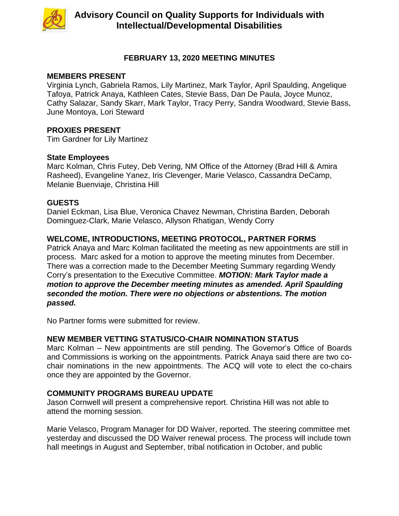

# **FEBRUARY 13, 2020 MEETING MINUTES**

#### **MEMBERS PRESENT**

Virginia Lynch, Gabriela Ramos, Lily Martinez, Mark Taylor, April Spaulding, Angelique Tafoya, Patrick Anaya, Kathleen Cates, Stevie Bass, Dan De Paula, Joyce Munoz, Cathy Salazar, Sandy Skarr, Mark Taylor, Tracy Perry, Sandra Woodward, Stevie Bass, June Montoya, Lori Steward

# **PROXIES PRESENT**

Tim Gardner for Lily Martinez

## **State Employees**

Marc Kolman, Chris Futey, Deb Vering, NM Office of the Attorney (Brad Hill & Amira Rasheed), Evangeline Yanez, Iris Clevenger, Marie Velasco, Cassandra DeCamp, Melanie Buenviaje, Christina Hill

## **GUESTS**

Daniel Eckman, Lisa Blue, Veronica Chavez Newman, Christina Barden, Deborah Dominguez-Clark, Marie Velasco, Allyson Rhatigan, Wendy Corry

# **WELCOME, INTRODUCTIONS, MEETING PROTOCOL, PARTNER FORMS**

Patrick Anaya and Marc Kolman facilitated the meeting as new appointments are still in process. Marc asked for a motion to approve the meeting minutes from December. There was a correction made to the December Meeting Summary regarding Wendy Corry's presentation to the Executive Committee. *MOTION: Mark Taylor made a motion to approve the December meeting minutes as amended. April Spaulding seconded the motion. There were no objections or abstentions. The motion passed.*

No Partner forms were submitted for review.

## **NEW MEMBER VETTING STATUS/CO-CHAIR NOMINATION STATUS**

Marc Kolman – New appointments are still pending. The Governor's Office of Boards and Commissions is working on the appointments. Patrick Anaya said there are two cochair nominations in the new appointments. The ACQ will vote to elect the co-chairs once they are appointed by the Governor.

## **COMMUNITY PROGRAMS BUREAU UPDATE**

Jason Cornwell will present a comprehensive report. Christina Hill was not able to attend the morning session.

Marie Velasco, Program Manager for DD Waiver, reported. The steering committee met yesterday and discussed the DD Waiver renewal process. The process will include town hall meetings in August and September, tribal notification in October, and public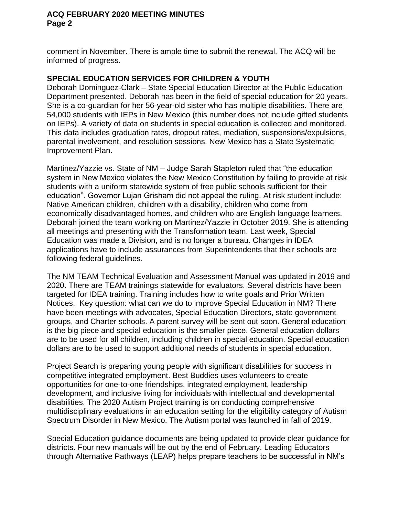comment in November. There is ample time to submit the renewal. The ACQ will be informed of progress.

# **SPECIAL EDUCATION SERVICES FOR CHILDREN & YOUTH**

Deborah Dominguez-Clark – State Special Education Director at the Public Education Department presented. Deborah has been in the field of special education for 20 years. She is a co-guardian for her 56-year-old sister who has multiple disabilities. There are 54,000 students with IEPs in New Mexico (this number does not include gifted students on IEPs). A variety of data on students in special education is collected and monitored. This data includes graduation rates, dropout rates, mediation, suspensions/expulsions, parental involvement, and resolution sessions. New Mexico has a State Systematic Improvement Plan.

Martinez/Yazzie vs. State of NM – Judge Sarah Stapleton ruled that "the education system in New Mexico violates the New Mexico Constitution by failing to provide at risk students with a uniform statewide system of free public schools sufficient for their education". Governor Lujan Grisham did not appeal the ruling. At risk student include: Native American children, children with a disability, children who come from economically disadvantaged homes, and children who are English language learners. Deborah joined the team working on Martinez/Yazzie in October 2019. She is attending all meetings and presenting with the Transformation team. Last week, Special Education was made a Division, and is no longer a bureau. Changes in IDEA applications have to include assurances from Superintendents that their schools are following federal guidelines.

The NM TEAM Technical Evaluation and Assessment Manual was updated in 2019 and 2020. There are TEAM trainings statewide for evaluators. Several districts have been targeted for IDEA training. Training includes how to write goals and Prior Written Notices. Key question: what can we do to improve Special Education in NM? There have been meetings with advocates, Special Education Directors, state government groups, and Charter schools. A parent survey will be sent out soon. General education is the big piece and special education is the smaller piece. General education dollars are to be used for all children, including children in special education. Special education dollars are to be used to support additional needs of students in special education.

Project Search is preparing young people with significant disabilities for success in competitive integrated employment. Best Buddies uses volunteers to create opportunities for one-to-one friendships, integrated employment, leadership development, and inclusive living for individuals with intellectual and developmental disabilities. The 2020 Autism Project training is on conducting comprehensive multidisciplinary evaluations in an education setting for the eligibility category of Autism Spectrum Disorder in New Mexico. The Autism portal was launched in fall of 2019.

Special Education guidance documents are being updated to provide clear guidance for districts. Four new manuals will be out by the end of February. Leading Educators through Alternative Pathways (LEAP) helps prepare teachers to be successful in NM's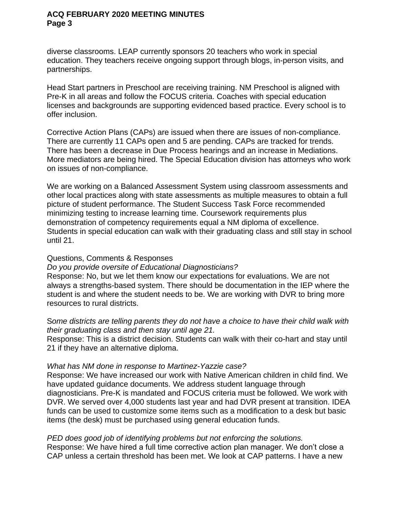diverse classrooms. LEAP currently sponsors 20 teachers who work in special education. They teachers receive ongoing support through blogs, in-person visits, and partnerships.

Head Start partners in Preschool are receiving training. NM Preschool is aligned with Pre-K in all areas and follow the FOCUS criteria. Coaches with special education licenses and backgrounds are supporting evidenced based practice. Every school is to offer inclusion.

Corrective Action Plans (CAPs) are issued when there are issues of non-compliance. There are currently 11 CAPs open and 5 are pending. CAPs are tracked for trends. There has been a decrease in Due Process hearings and an increase in Mediations. More mediators are being hired. The Special Education division has attorneys who work on issues of non-compliance.

We are working on a Balanced Assessment System using classroom assessments and other local practices along with state assessments as multiple measures to obtain a full picture of student performance. The Student Success Task Force recommended minimizing testing to increase learning time. Coursework requirements plus demonstration of competency requirements equal a NM diploma of excellence. Students in special education can walk with their graduating class and still stay in school until 21.

#### Questions, Comments & Responses

*Do you provide oversite of Educational Diagnosticians?*

Response: No, but we let them know our expectations for evaluations. We are not always a strengths-based system. There should be documentation in the IEP where the student is and where the student needs to be. We are working with DVR to bring more resources to rural districts.

S*ome districts are telling parents they do not have a choice to have their child walk with their graduating class and then stay until age 21.*

Response: This is a district decision. Students can walk with their co-hart and stay until 21 if they have an alternative diploma.

#### *What has NM done in response to Martinez-Yazzie case?*

Response: We have increased our work with Native American children in child find. We have updated guidance documents. We address student language through diagnosticians. Pre-K is mandated and FOCUS criteria must be followed. We work with DVR. We served over 4,000 students last year and had DVR present at transition. IDEA funds can be used to customize some items such as a modification to a desk but basic items (the desk) must be purchased using general education funds.

#### *PED does good job of identifying problems but not enforcing the solutions.*

Response: We have hired a full time corrective action plan manager. We don't close a CAP unless a certain threshold has been met. We look at CAP patterns. I have a new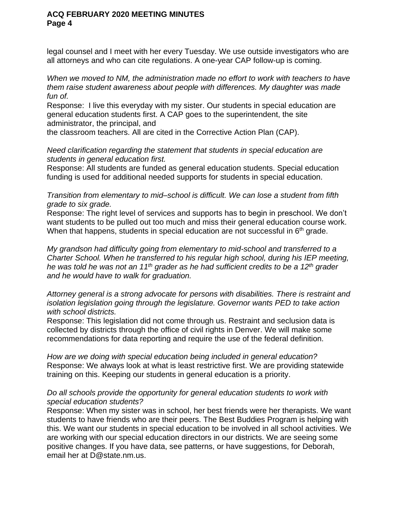legal counsel and I meet with her every Tuesday. We use outside investigators who are all attorneys and who can cite regulations. A one-year CAP follow-up is coming.

*When we moved to NM, the administration made no effort to work with teachers to have them raise student awareness about people with differences. My daughter was made fun of.* 

Response: I live this everyday with my sister. Our students in special education are general education students first. A CAP goes to the superintendent, the site administrator, the principal, and

the classroom teachers. All are cited in the Corrective Action Plan (CAP).

*Need clarification regarding the statement that students in special education are students in general education first.*

Response: All students are funded as general education students. Special education funding is used for additional needed supports for students in special education.

*Transition from elementary to mid–school is difficult. We can lose a student from fifth grade to six grade.* 

Response: The right level of services and supports has to begin in preschool. We don't want students to be pulled out too much and miss their general education course work. When that happens, students in special education are not successful in  $6<sup>th</sup>$  grade.

*My grandson had difficulty going from elementary to mid-school and transferred to a Charter School. When he transferred to his regular high school, during his IEP meeting, he was told he was not an 11th grader as he had sufficient credits to be a 12th grader and he would have to walk for graduation.* 

*Attorney general is a strong advocate for persons with disabilities. There is restraint and isolation legislation going through the legislature. Governor wants PED to take action with school districts.* 

Response: This legislation did not come through us. Restraint and seclusion data is collected by districts through the office of civil rights in Denver. We will make some recommendations for data reporting and require the use of the federal definition.

*How are we doing with special education being included in general education?* Response: We always look at what is least restrictive first. We are providing statewide training on this. Keeping our students in general education is a priority.

## *Do all schools provide the opportunity for general education students to work with special education students?*

Response: When my sister was in school, her best friends were her therapists. We want students to have friends who are their peers. The Best Buddies Program is helping with this. We want our students in special education to be involved in all school activities. We are working with our special education directors in our districts. We are seeing some positive changes. If you have data, see patterns, or have suggestions, for Deborah, email her at D@state.nm.us.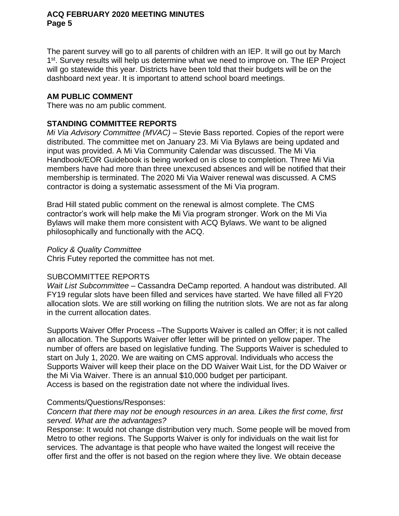The parent survey will go to all parents of children with an IEP. It will go out by March 1<sup>st</sup>. Survey results will help us determine what we need to improve on. The IEP Project will go statewide this year. Districts have been told that their budgets will be on the dashboard next year. It is important to attend school board meetings.

# **AM PUBLIC COMMENT**

There was no am public comment.

# **STANDING COMMITTEE REPORTS**

*Mi Via Advisory Committee (MVAC)* – Stevie Bass reported. Copies of the report were distributed. The committee met on January 23. Mi Via Bylaws are being updated and input was provided. A Mi Via Community Calendar was discussed. The Mi Via Handbook/EOR Guidebook is being worked on is close to completion. Three Mi Via members have had more than three unexcused absences and will be notified that their membership is terminated. The 2020 Mi Via Waiver renewal was discussed. A CMS contractor is doing a systematic assessment of the Mi Via program.

Brad Hill stated public comment on the renewal is almost complete. The CMS contractor's work will help make the Mi Via program stronger. Work on the Mi Via Bylaws will make them more consistent with ACQ Bylaws. We want to be aligned philosophically and functionally with the ACQ.

## *Policy & Quality Committee*

Chris Futey reported the committee has not met.

## SUBCOMMITTEE REPORTS

*Wait List Subcommittee* – Cassandra DeCamp reported. A handout was distributed. All FY19 regular slots have been filled and services have started. We have filled all FY20 allocation slots. We are still working on filling the nutrition slots. We are not as far along in the current allocation dates.

Supports Waiver Offer Process –The Supports Waiver is called an Offer; it is not called an allocation. The Supports Waiver offer letter will be printed on yellow paper. The number of offers are based on legislative funding. The Supports Waiver is scheduled to start on July 1, 2020. We are waiting on CMS approval. Individuals who access the Supports Waiver will keep their place on the DD Waiver Wait List, for the DD Waiver or the Mi Via Waiver. There is an annual \$10,000 budget per participant. Access is based on the registration date not where the individual lives.

## Comments/Questions/Responses:

## *Concern that there may not be enough resources in an area. Likes the first come, first served. What are the advantages?*

Response: It would not change distribution very much. Some people will be moved from Metro to other regions. The Supports Waiver is only for individuals on the wait list for services. The advantage is that people who have waited the longest will receive the offer first and the offer is not based on the region where they live. We obtain decease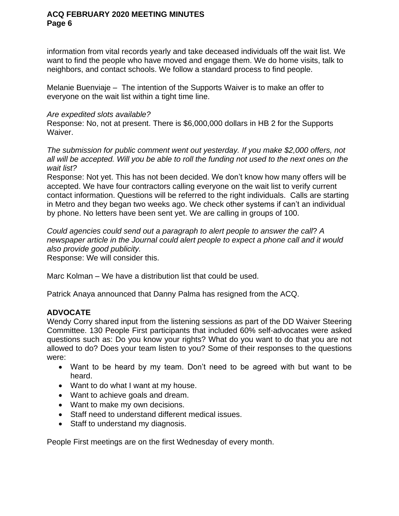information from vital records yearly and take deceased individuals off the wait list. We want to find the people who have moved and engage them. We do home visits, talk to neighbors, and contact schools. We follow a standard process to find people.

Melanie Buenviaje – The intention of the Supports Waiver is to make an offer to everyone on the wait list within a tight time line.

# *Are expedited slots available?*

Response: No, not at present. There is \$6,000,000 dollars in HB 2 for the Supports Waiver.

*The submission for public comment went out yesterday. If you make \$2,000 offers, not all will be accepted. Will you be able to roll the funding not used to the next ones on the wait list?*

Response: Not yet. This has not been decided. We don't know how many offers will be accepted. We have four contractors calling everyone on the wait list to verify current contact information. Questions will be referred to the right individuals. Calls are starting in Metro and they began two weeks ago. We check other systems if can't an individual by phone. No letters have been sent yet. We are calling in groups of 100.

*Could agencies could send out a paragraph to alert people to answer the call*? *A newspaper article in the Journal could alert people to expect a phone call and it would also provide good publicity.*

Response: We will consider this.

Marc Kolman – We have a distribution list that could be used.

Patrick Anaya announced that Danny Palma has resigned from the ACQ.

# **ADVOCATE**

Wendy Corry shared input from the listening sessions as part of the DD Waiver Steering Committee. 130 People First participants that included 60% self-advocates were asked questions such as: Do you know your rights? What do you want to do that you are not allowed to do? Does your team listen to you? Some of their responses to the questions were:

- Want to be heard by my team. Don't need to be agreed with but want to be heard.
- Want to do what I want at my house.
- Want to achieve goals and dream.
- Want to make my own decisions.
- Staff need to understand different medical issues.
- Staff to understand my diagnosis.

People First meetings are on the first Wednesday of every month.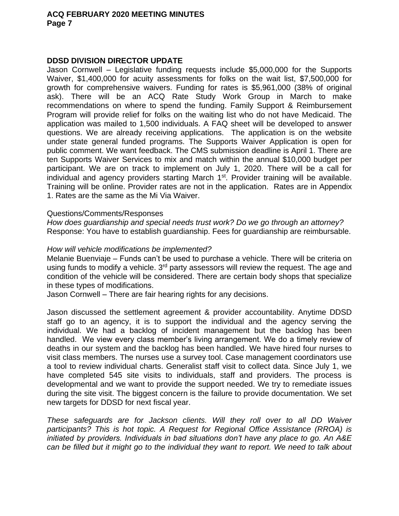#### **DDSD DIVISION DIRECTOR UPDATE**

Jason Cornwell – Legislative funding requests include \$5,000,000 for the Supports Waiver, \$1,400,000 for acuity assessments for folks on the wait list, \$7,500,000 for growth for comprehensive waivers. Funding for rates is \$5,961,000 (38% of original ask). There will be an ACQ Rate Study Work Group in March to make recommendations on where to spend the funding. Family Support & Reimbursement Program will provide relief for folks on the waiting list who do not have Medicaid. The application was mailed to 1,500 individuals. A FAQ sheet will be developed to answer questions. We are already receiving applications. The application is on the website under state general funded programs. The Supports Waiver Application is open for public comment. We want feedback. The CMS submission deadline is April 1. There are ten Supports Waiver Services to mix and match within the annual \$10,000 budget per participant. We are on track to implement on July 1, 2020. There will be a call for individual and agency providers starting March  $1<sup>st</sup>$ . Provider training will be available. Training will be online. Provider rates are not in the application. Rates are in Appendix 1. Rates are the same as the Mi Via Waiver.

#### Questions/Comments/Responses

*How does guardianship and special needs trust work? Do we go through an attorney?*  Response: You have to establish guardianship. Fees for guardianship are reimbursable.

#### *How will vehicle modifications be implemented?*

Melanie Buenviaje – Funds can't be used to purchase a vehicle. There will be criteria on using funds to modify a vehicle. 3<sup>rd</sup> party assessors will review the request. The age and condition of the vehicle will be considered. There are certain body shops that specialize in these types of modifications.

Jason Cornwell – There are fair hearing rights for any decisions.

Jason discussed the settlement agreement & provider accountability. Anytime DDSD staff go to an agency, it is to support the individual and the agency serving the individual. We had a backlog of incident management but the backlog has been handled. We view every class member's living arrangement. We do a timely review of deaths in our system and the backlog has been handled. We have hired four nurses to visit class members. The nurses use a survey tool. Case management coordinators use a tool to review individual charts. Generalist staff visit to collect data. Since July 1, we have completed 545 site visits to individuals, staff and providers. The process is developmental and we want to provide the support needed. We try to remediate issues during the site visit. The biggest concern is the failure to provide documentation. We set new targets for DDSD for next fiscal year.

*These safeguards are for Jackson clients. Will they roll over to all DD Waiver participants? This is hot topic. A Request for Regional Office Assistance (RROA) is initiated by providers. Individuals in bad situations don't have any place to go. An A&E can be filled but it might go to the individual they want to report. We need to talk about*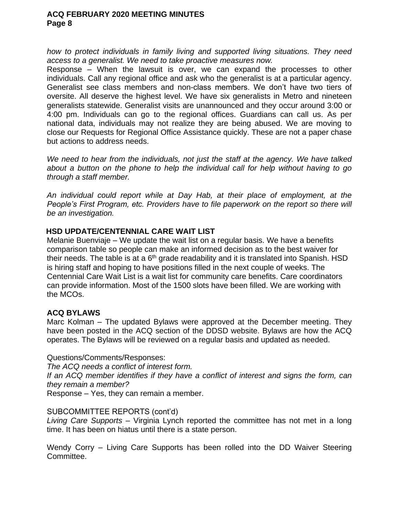*how to protect individuals in family living and supported living situations. They need access to a generalist. We need to take proactive measures now.*

Response – When the lawsuit is over, we can expand the processes to other individuals. Call any regional office and ask who the generalist is at a particular agency. Generalist see class members and non-class members. We don't have two tiers of oversite. All deserve the highest level. We have six generalists in Metro and nineteen generalists statewide. Generalist visits are unannounced and they occur around 3:00 or 4:00 pm. Individuals can go to the regional offices. Guardians can call us. As per national data, individuals may not realize they are being abused. We are moving to close our Requests for Regional Office Assistance quickly. These are not a paper chase but actions to address needs.

*We need to hear from the individuals, not just the staff at the agency. We have talked about a button on the phone to help the individual call for help without having to go through a staff member.*

*An individual could report while at Day Hab, at their place of employment, at the People's First Program, etc. Providers have to file paperwork on the report so there will be an investigation.*

## **HSD UPDATE/CENTENNIAL CARE WAIT LIST**

Melanie Buenviaje – We update the wait list on a regular basis. We have a benefits comparison table so people can make an informed decision as to the best waiver for their needs. The table is at a  $6<sup>th</sup>$  grade readability and it is translated into Spanish. HSD is hiring staff and hoping to have positions filled in the next couple of weeks. The Centennial Care Wait List is a wait list for community care benefits. Care coordinators can provide information. Most of the 1500 slots have been filled. We are working with the MCOs.

## **ACQ BYLAWS**

Marc Kolman – The updated Bylaws were approved at the December meeting. They have been posted in the ACQ section of the DDSD website. Bylaws are how the ACQ operates. The Bylaws will be reviewed on a regular basis and updated as needed.

## Questions/Comments/Responses:

*The ACQ needs a conflict of interest form.* 

*If an ACQ member identifies if they have a conflict of interest and signs the form, can they remain a member?* 

Response – Yes, they can remain a member.

## SUBCOMMITTEE REPORTS (cont'd)

*Living Care Supports* – Virginia Lynch reported the committee has not met in a long time. It has been on hiatus until there is a state person.

Wendy Corry – Living Care Supports has been rolled into the DD Waiver Steering Committee.